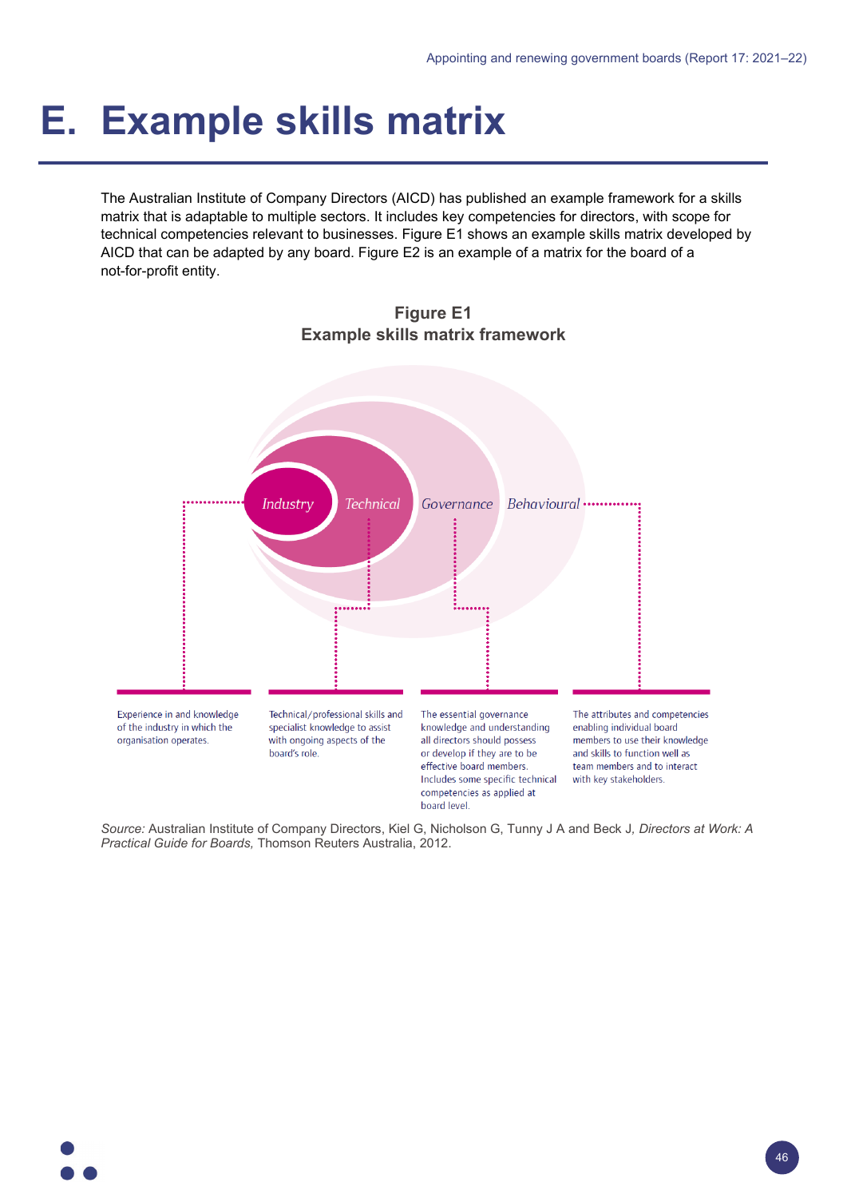## **E. Example skills matrix**

•<br>••

The Australian Institute of Company Directors (AICD) has published an example framework for a skills matrix that is adaptable to multiple sectors. It includes key competencies for directors, with scope for technical competencies relevant to businesses. Figure E1 shows an example skills matrix developed by AICD that can be adapted by any board. Figure E2 is an example of a matrix for the board of a not-for-profit entity.



**Figure E1 Example skills matrix framework**

*Source:* Australian Institute of Company Directors, Kiel G, Nicholson G, Tunny J A and Beck J*, Directors at Work: A Practical Guide for Boards,* Thomson Reuters Australia, 2012.

board level.

46